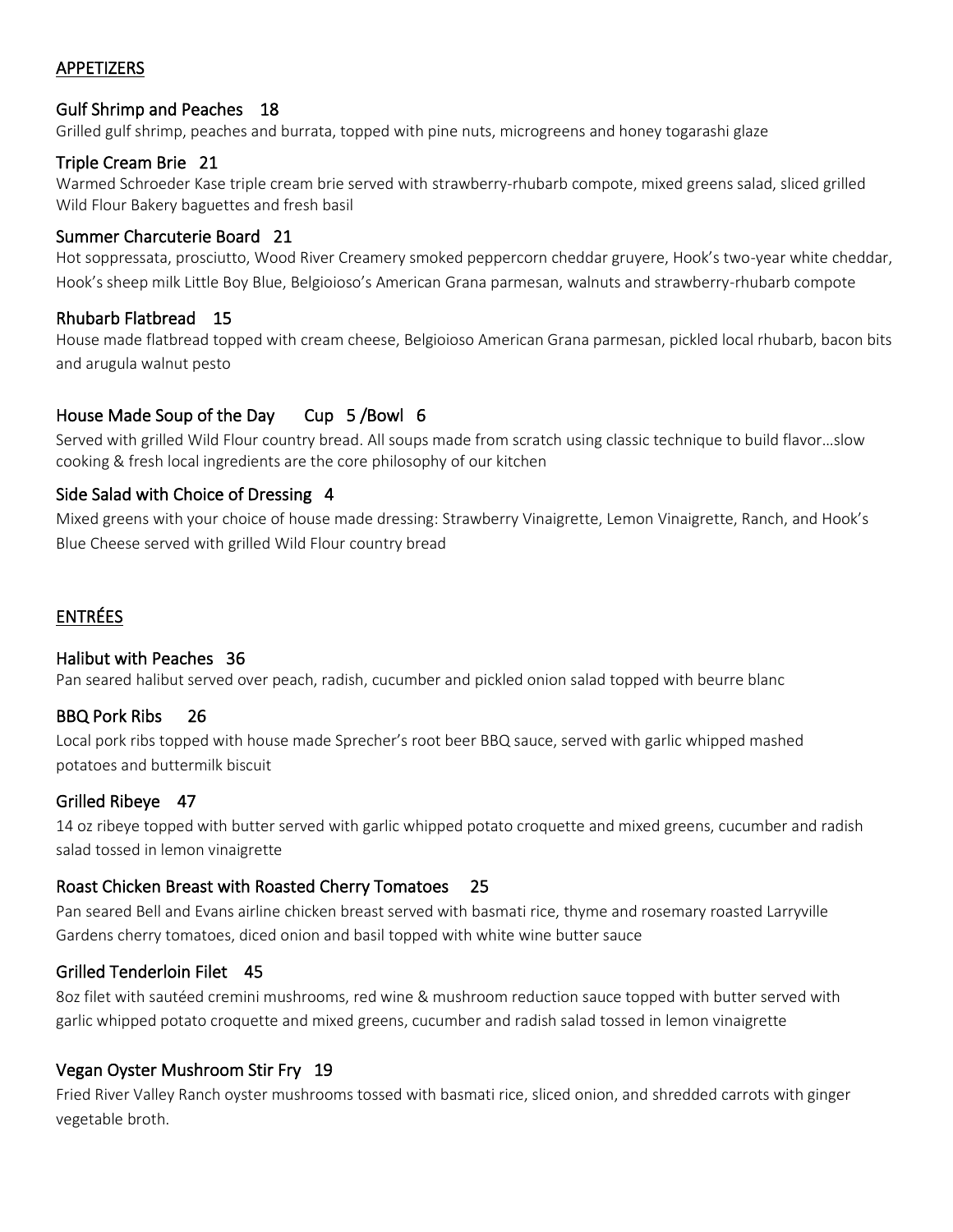## APPETIZERS

### Gulf Shrimp and Peaches 18

Grilled gulf shrimp, peaches and burrata, topped with pine nuts, microgreens and honey togarashi glaze

### Triple Cream Brie 21

Warmed Schroeder Kase triple cream brie served with strawberry-rhubarb compote, mixed greens salad, sliced grilled Wild Flour Bakery baguettes and fresh basil

### Summer Charcuterie Board 21

Hot soppressata, prosciutto, Wood River Creamery smoked peppercorn cheddar gruyere, Hook's two-year white cheddar, Hook's sheep milk Little Boy Blue, Belgioioso's American Grana parmesan, walnuts and strawberry-rhubarb compote

## Rhubarb Flatbread 15

House made flatbread topped with cream cheese, Belgioioso American Grana parmesan, pickled local rhubarb, bacon bits and arugula walnut pesto

## House Made Soup of the Day Cup 5 /Bowl 6

Served with grilled Wild Flour country bread. All soups made from scratch using classic technique to build flavor…slow cooking & fresh local ingredients are the core philosophy of our kitchen

## Side Salad with Choice of Dressing 4

Mixed greens with your choice of house made dressing: Strawberry Vinaigrette, Lemon Vinaigrette, Ranch, and Hook's Blue Cheese served with grilled Wild Flour country bread

# ENTRÉES

#### Halibut with Peaches 36

Pan seared halibut served over peach, radish, cucumber and pickled onion salad topped with beurre blanc

## BBQ Pork Ribs 26

Local pork ribs topped with house made Sprecher's root beer BBQ sauce, served with garlic whipped mashed potatoes and buttermilk biscuit

## Grilled Ribeye 47

14 oz ribeye topped with butter served with garlic whipped potato croquette and mixed greens, cucumber and radish salad tossed in lemon vinaigrette

## Roast Chicken Breast with Roasted Cherry Tomatoes 25

Pan seared Bell and Evans airline chicken breast served with basmati rice, thyme and rosemary roasted Larryville Gardens cherry tomatoes, diced onion and basil topped with white wine butter sauce

## Grilled Tenderloin Filet 45

8oz filet with sautéed cremini mushrooms, red wine & mushroom reduction sauce topped with butter served with garlic whipped potato croquette and mixed greens, cucumber and radish salad tossed in lemon vinaigrette

## Vegan Oyster Mushroom Stir Fry 19

Fried River Valley Ranch oyster mushrooms tossed with basmati rice, sliced onion, and shredded carrots with ginger vegetable broth.